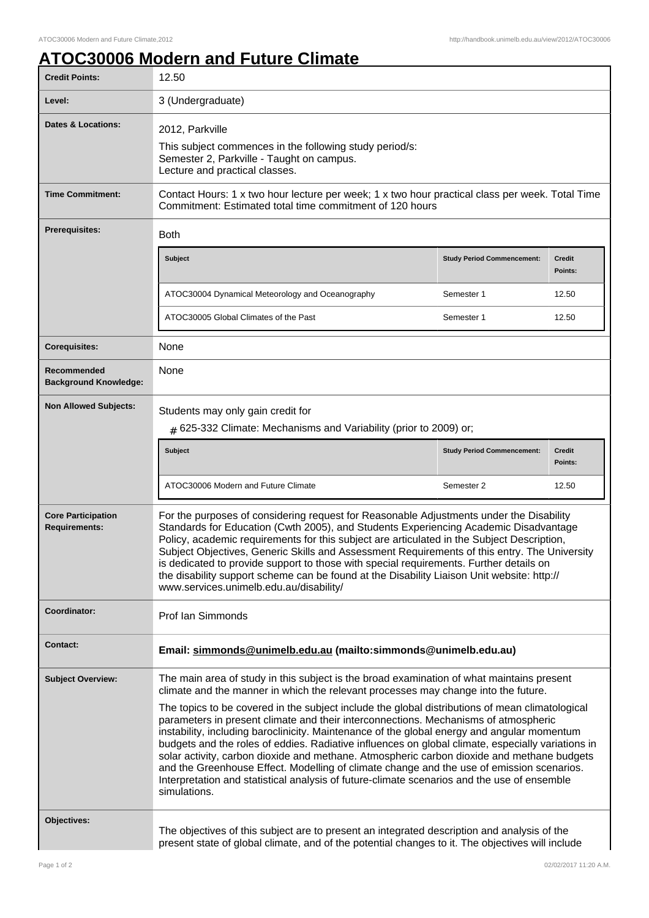## **ATOC30006 Modern and Future Climate**

| <b>Credit Points:</b>                             | 12.50                                                                                                                                                                                                                                                                                                                                                                                                                                                                                                                                                                                                                                                                                                                                                                                                                                                                                   |                                   |                          |
|---------------------------------------------------|-----------------------------------------------------------------------------------------------------------------------------------------------------------------------------------------------------------------------------------------------------------------------------------------------------------------------------------------------------------------------------------------------------------------------------------------------------------------------------------------------------------------------------------------------------------------------------------------------------------------------------------------------------------------------------------------------------------------------------------------------------------------------------------------------------------------------------------------------------------------------------------------|-----------------------------------|--------------------------|
| Level:                                            | 3 (Undergraduate)                                                                                                                                                                                                                                                                                                                                                                                                                                                                                                                                                                                                                                                                                                                                                                                                                                                                       |                                   |                          |
| Dates & Locations:                                | 2012, Parkville<br>This subject commences in the following study period/s:<br>Semester 2, Parkville - Taught on campus.<br>Lecture and practical classes.                                                                                                                                                                                                                                                                                                                                                                                                                                                                                                                                                                                                                                                                                                                               |                                   |                          |
| <b>Time Commitment:</b>                           | Contact Hours: 1 x two hour lecture per week; 1 x two hour practical class per week. Total Time<br>Commitment: Estimated total time commitment of 120 hours                                                                                                                                                                                                                                                                                                                                                                                                                                                                                                                                                                                                                                                                                                                             |                                   |                          |
| <b>Prerequisites:</b>                             | <b>Both</b>                                                                                                                                                                                                                                                                                                                                                                                                                                                                                                                                                                                                                                                                                                                                                                                                                                                                             |                                   |                          |
|                                                   | <b>Subject</b>                                                                                                                                                                                                                                                                                                                                                                                                                                                                                                                                                                                                                                                                                                                                                                                                                                                                          | <b>Study Period Commencement:</b> | <b>Credit</b><br>Points: |
|                                                   | ATOC30004 Dynamical Meteorology and Oceanography                                                                                                                                                                                                                                                                                                                                                                                                                                                                                                                                                                                                                                                                                                                                                                                                                                        | Semester 1                        | 12.50                    |
|                                                   | ATOC30005 Global Climates of the Past                                                                                                                                                                                                                                                                                                                                                                                                                                                                                                                                                                                                                                                                                                                                                                                                                                                   | Semester 1                        | 12.50                    |
| <b>Corequisites:</b>                              | None                                                                                                                                                                                                                                                                                                                                                                                                                                                                                                                                                                                                                                                                                                                                                                                                                                                                                    |                                   |                          |
| Recommended<br><b>Background Knowledge:</b>       | None                                                                                                                                                                                                                                                                                                                                                                                                                                                                                                                                                                                                                                                                                                                                                                                                                                                                                    |                                   |                          |
| <b>Non Allowed Subjects:</b>                      | Students may only gain credit for<br>$#$ 625-332 Climate: Mechanisms and Variability (prior to 2009) or;<br><b>Subject</b>                                                                                                                                                                                                                                                                                                                                                                                                                                                                                                                                                                                                                                                                                                                                                              | <b>Study Period Commencement:</b> | <b>Credit</b>            |
|                                                   | ATOC30006 Modern and Future Climate                                                                                                                                                                                                                                                                                                                                                                                                                                                                                                                                                                                                                                                                                                                                                                                                                                                     | Semester 2                        | Points:<br>12.50         |
|                                                   |                                                                                                                                                                                                                                                                                                                                                                                                                                                                                                                                                                                                                                                                                                                                                                                                                                                                                         |                                   |                          |
| <b>Core Participation</b><br><b>Requirements:</b> | For the purposes of considering request for Reasonable Adjustments under the Disability<br>Standards for Education (Cwth 2005), and Students Experiencing Academic Disadvantage<br>Policy, academic requirements for this subject are articulated in the Subject Description,<br>Subject Objectives, Generic Skills and Assessment Requirements of this entry. The University<br>is dedicated to provide support to those with special requirements. Further details on<br>the disability support scheme can be found at the Disability Liaison Unit website: http://<br>www.services.unimelb.edu.au/disability/                                                                                                                                                                                                                                                                        |                                   |                          |
| Coordinator:                                      | Prof Ian Simmonds                                                                                                                                                                                                                                                                                                                                                                                                                                                                                                                                                                                                                                                                                                                                                                                                                                                                       |                                   |                          |
| <b>Contact:</b>                                   | Email: simmonds@unimelb.edu.au (mailto:simmonds@unimelb.edu.au)                                                                                                                                                                                                                                                                                                                                                                                                                                                                                                                                                                                                                                                                                                                                                                                                                         |                                   |                          |
| <b>Subject Overview:</b>                          | The main area of study in this subject is the broad examination of what maintains present<br>climate and the manner in which the relevant processes may change into the future.<br>The topics to be covered in the subject include the global distributions of mean climatological<br>parameters in present climate and their interconnections. Mechanisms of atmospheric<br>instability, including baroclinicity. Maintenance of the global energy and angular momentum<br>budgets and the roles of eddies. Radiative influences on global climate, especially variations in<br>solar activity, carbon dioxide and methane. Atmospheric carbon dioxide and methane budgets<br>and the Greenhouse Effect. Modelling of climate change and the use of emission scenarios.<br>Interpretation and statistical analysis of future-climate scenarios and the use of ensemble<br>simulations. |                                   |                          |
| Objectives:                                       | The objectives of this subject are to present an integrated description and analysis of the<br>present state of global climate, and of the potential changes to it. The objectives will include                                                                                                                                                                                                                                                                                                                                                                                                                                                                                                                                                                                                                                                                                         |                                   |                          |